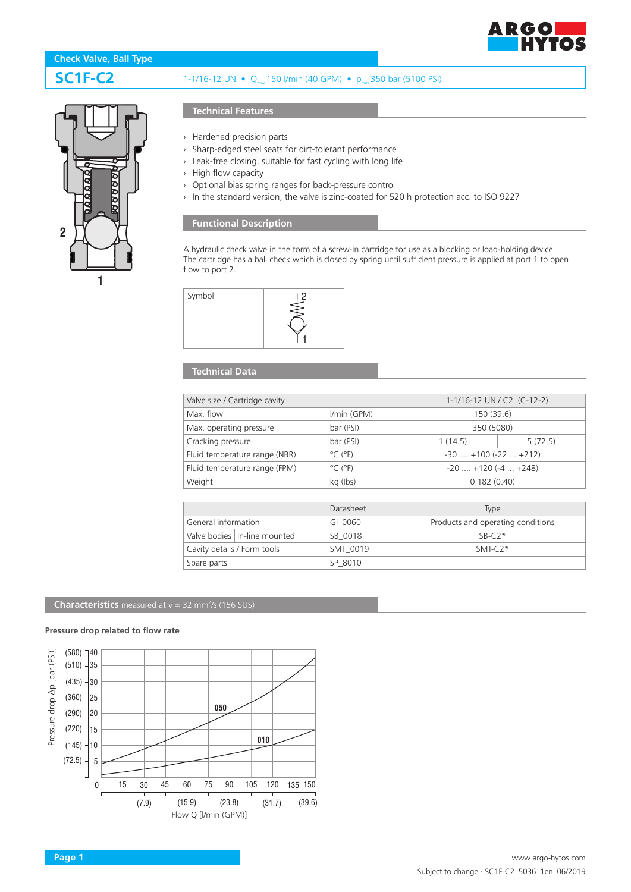



# **SC1F-C2** 1-1/16-12 UN • Q<sub>max</sub> 150 l/min (40 GPM) • p<sub>max</sub> 350 bar (5100 PSI)

› Hardened precision parts

**Technical Features**

- › Sharp-edged steel seats for dirt-tolerant performance
- › Leak-free closing, suitable for fast cycling with long life
- › High flow capacity
- › Optional bias spring ranges for back-pressure control
- › In the standard version, the valve is zinc-coated for 520 h protection acc. to ISO 9227

### **Functional Description**

A hydraulic check valve in the form of a screw-in cartridge for use as a blocking or load-holding device. The cartridge has a ball check which is closed by spring until sufficient pressure is applied at port 1 to open flow to port 2.



## **Technical Data**

| Valve size / Cartridge cavity |                              | 1-1/16-12 UN / C2 (C-12-2)    |         |
|-------------------------------|------------------------------|-------------------------------|---------|
| Max. flow                     | I/min (GPM)                  | 150 (39.6)                    |         |
| Max. operating pressure       | bar (PSI)                    | 350 (5080)                    |         |
| Cracking pressure             | bar (PSI)                    | 1(14.5)                       | 5(72.5) |
| Fluid temperature range (NBR) | $^{\circ}$ C ( $^{\circ}$ F) | $-30$ $+100$ ( $-22$ $+212$ ) |         |
| Fluid temperature range (FPM) | $^{\circ}$ C ( $^{\circ}$ F) | $-20$ $+120$ ( $-4$ $+248$ )  |         |
| Weight                        | kg (lbs)                     | 0.182(0.40)                   |         |

|                             |                                | Datasheet | Type                              |
|-----------------------------|--------------------------------|-----------|-----------------------------------|
| General information         |                                | GI 0060   | Products and operating conditions |
|                             | Valve bodies   In-line mounted | SB 0018   | $SR-C2*$                          |
| Cavity details / Form tools |                                | SMT 0019  | $SMT-C2*$                         |
| Spare parts                 |                                | SP 8010   |                                   |

#### **Characteristics** measured at  $v = 32$  mm<sup>2</sup>/s (156 SUS)

#### **Pressure drop related to flow rate**